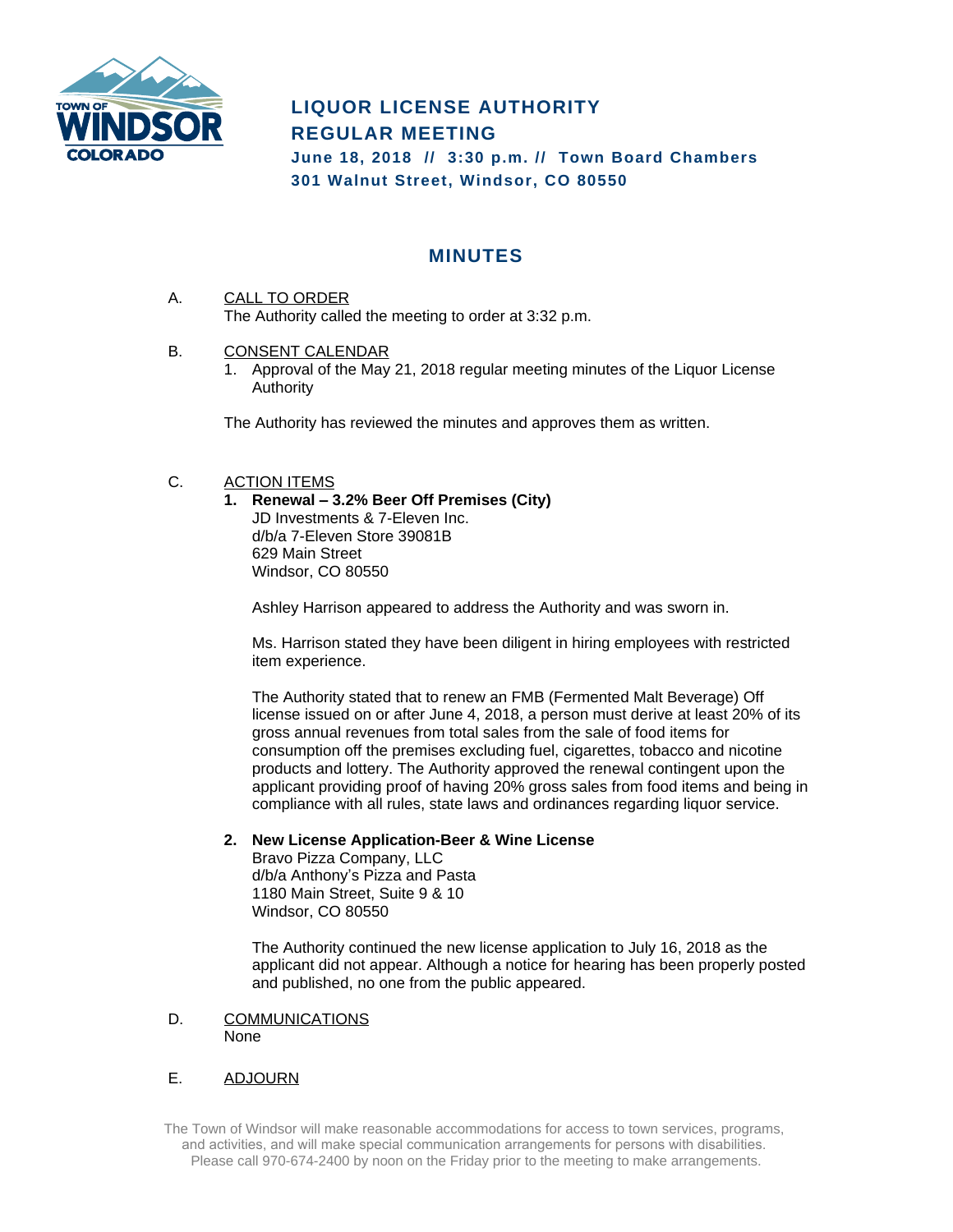

# **LIQUOR LICENSE AUTHORITY REGULAR MEETING**

**June 18, 2018 // 3:30 p.m. // Town Board Chambers 301 Walnut Street, Windsor, CO 80550**

# **MINUTES**

- A. CALL TO ORDER The Authority called the meeting to order at 3:32 p.m.
- B. CONSENT CALENDAR
	- 1. Approval of the May 21, 2018 regular meeting minutes of the Liquor License Authority

The Authority has reviewed the minutes and approves them as written.

## C. ACTION ITEMS

**1. Renewal – 3.2% Beer Off Premises (City)** JD Investments & 7-Eleven Inc. d/b/a 7-Eleven Store 39081B 629 Main Street Windsor, CO 80550

Ashley Harrison appeared to address the Authority and was sworn in.

Ms. Harrison stated they have been diligent in hiring employees with restricted item experience.

The Authority stated that to renew an FMB (Fermented Malt Beverage) Off license issued on or after June 4, 2018, a person must derive at least 20% of its gross annual revenues from total sales from the sale of food items for consumption off the premises excluding fuel, cigarettes, tobacco and nicotine products and lottery. The Authority approved the renewal contingent upon the applicant providing proof of having 20% gross sales from food items and being in compliance with all rules, state laws and ordinances regarding liquor service.

#### **2. New License Application-Beer & Wine License**

Bravo Pizza Company, LLC d/b/a Anthony's Pizza and Pasta 1180 Main Street, Suite 9 & 10 Windsor, CO 80550

The Authority continued the new license application to July 16, 2018 as the applicant did not appear. Although a notice for hearing has been properly posted and published, no one from the public appeared.

#### D. COMMUNICATIONS None

## E. ADJOURN

The Town of Windsor will make reasonable accommodations for access to town services, programs, and activities, and will make special communication arrangements for persons with disabilities. Please call 970-674-2400 by noon on the Friday prior to the meeting to make arrangements.